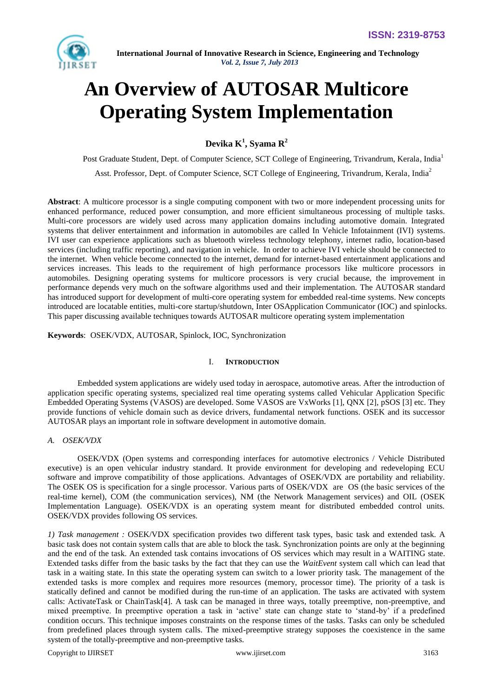

# **An Overview of AUTOSAR Multicore Operating System Implementation**

**Devika K<sup>1</sup> , Syama R<sup>2</sup>**

Post Graduate Student, Dept. of Computer Science, SCT College of Engineering, Trivandrum, Kerala, India<sup>1</sup> Asst. Professor, Dept. of Computer Science, SCT College of Engineering, Trivandrum, Kerala, India<sup>2</sup>

**Abstract**: A multicore processor is a single computing component with two or more independent processing units for enhanced performance, reduced power consumption, and more efficient simultaneous processing of multiple tasks. Multi-core processors are widely used across many application domains including automotive domain. Integrated systems that deliver entertainment and information in automobiles are called In Vehicle Infotainment (IVI) systems. IVI user can experience applications such as bluetooth wireless technology telephony, internet radio, location-based services (including traffic reporting), and navigation in vehicle. In order to achieve IVI vehicle should be connected to the internet. When vehicle become connected to the internet, demand for internet-based entertainment applications and services increases. This leads to the requirement of high performance processors like multicore processors in automobiles. Designing operating systems for multicore processors is very crucial because, the improvement in performance depends very much on the software algorithms used and their implementation. The AUTOSAR standard has introduced support for development of multi-core operating system for embedded real-time systems. New concepts introduced are locatable entities, multi-core startup/shutdown, Inter OSApplication Communicator (IOC) and spinlocks. This paper discussing available techniques towards AUTOSAR multicore operating system implementation

**Keywords**: OSEK/VDX, AUTOSAR, Spinlock, IOC, Synchronization

# I. **INTRODUCTION**

Embedded system applications are widely used today in aerospace, automotive areas. After the introduction of application specific operating systems, specialized real time operating systems called Vehicular Application Specific Embedded Operating Systems (VASOS) are developed. Some VASOS are VxWorks [1], QNX [2], pSOS [3] etc. They provide functions of vehicle domain such as device drivers, fundamental network functions. OSEK and its successor AUTOSAR plays an important role in software development in automotive domain.

# *A. OSEK/VDX*

OSEK/VDX (Open systems and corresponding interfaces for automotive electronics / Vehicle Distributed executive) is an open vehicular industry standard. It provide environment for developing and redeveloping ECU software and improve compatibility of those applications. Advantages of OSEK/VDX are portability and reliability. The OSEK OS is specification for a single processor. Various parts of OSEK/VDX are OS (the basic services of the real-time kernel), COM (the communication services), NM (the Network Management services) and OIL (OSEK Implementation Language). OSEK/VDX is an operating system meant for distributed embedded control units. OSEK/VDX provides following OS services.

*1) Task management :* OSEK/VDX specification provides two different task types, basic task and extended task. A basic task does not contain system calls that are able to block the task. Synchronization points are only at the beginning and the end of the task. An extended task contains invocations of OS services which may result in a WAITING state. Extended tasks differ from the basic tasks by the fact that they can use the *WaitEvent* system call which can lead that task in a waiting state. In this state the operating system can switch to a lower priority task. The management of the extended tasks is more complex and requires more resources (memory, processor time). The priority of a task is statically defined and cannot be modified during the run-time of an application. The tasks are activated with system calls: ActivateTask or ChainTask[4]. A task can be managed in three ways, totally preemptive, non-preemptive, and mixed preemptive. In preemptive operation a task in 'active' state can change state to 'stand-by' if a predefined condition occurs. This technique imposes constraints on the response times of the tasks. Tasks can only be scheduled from predefined places through system calls. The mixed-preemptive strategy supposes the coexistence in the same system of the totally-preemptive and non-preemptive tasks.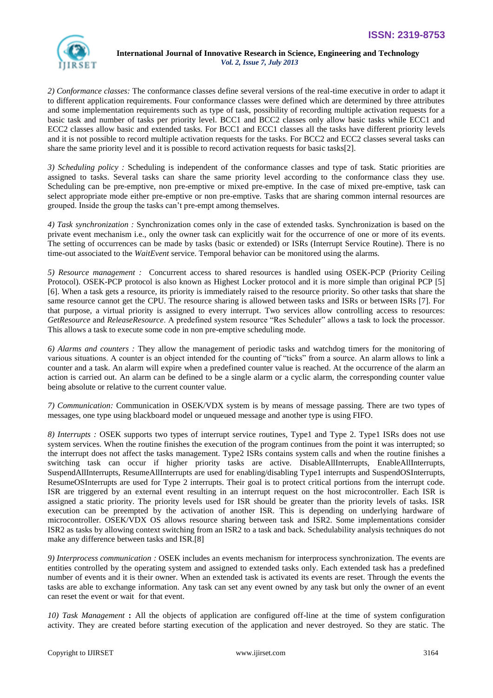

*2) Conformance classes:* The conformance classes define several versions of the real-time executive in order to adapt it to different application requirements. Four conformance classes were defined which are determined by three attributes and some implementation requirements such as type of task, possibility of recording multiple activation requests for a basic task and number of tasks per priority level. BCC1 and BCC2 classes only allow basic tasks while ECC1 and ECC2 classes allow basic and extended tasks. For BCC1 and ECC1 classes all the tasks have different priority levels and it is not possible to record multiple activation requests for the tasks. For BCC2 and ECC2 classes several tasks can share the same priority level and it is possible to record activation requests for basic tasks[2].

*3) Scheduling policy :* Scheduling is independent of the conformance classes and type of task. Static priorities are assigned to tasks. Several tasks can share the same priority level according to the conformance class they use. Scheduling can be pre-emptive, non pre-emptive or mixed pre-emptive. In the case of mixed pre-emptive, task can select appropriate mode either pre-emptive or non pre-emptive. Tasks that are sharing common internal resources are grouped. Inside the group the tasks can't pre-empt among themselves.

*4) Task synchronization :* Synchronization comes only in the case of extended tasks. Synchronization is based on the private event mechanism i.e., only the owner task can explicitly wait for the occurrence of one or more of its events. The setting of occurrences can be made by tasks (basic or extended) or ISRs (Interrupt Service Routine). There is no time-out associated to the *WaitEvent* service. Temporal behavior can be monitored using the alarms.

*5) Resource management :* Concurrent access to shared resources is handled using OSEK-PCP (Priority Ceiling Protocol). OSEK-PCP protocol is also known as Highest Locker protocol and it is more simple than original PCP [5] [6]. When a task gets a resource, its priority is immediately raised to the resource priority. So other tasks that share the same resource cannot get the CPU. The resource sharing is allowed between tasks and ISRs or between ISRs [7]. For that purpose, a virtual priority is assigned to every interrupt. Two services allow controlling access to resources: GetResource and *ReleaseResource*. A predefined system resource "Res Scheduler" allows a task to lock the processor. This allows a task to execute some code in non pre-emptive scheduling mode.

*6) Alarms and counters :* They allow the management of periodic tasks and watchdog timers for the monitoring of various situations. A counter is an object intended for the counting of "ticks" from a source. An alarm allows to link a counter and a task. An alarm will expire when a predefined counter value is reached. At the occurrence of the alarm an action is carried out. An alarm can be defined to be a single alarm or a cyclic alarm, the corresponding counter value being absolute or relative to the current counter value.

*7) Communication:* Communication in OSEK/VDX system is by means of message passing. There are two types of messages, one type using blackboard model or unqueued message and another type is using FIFO.

*8) Interrupts :* OSEK supports two types of interrupt service routines, Type1 and Type 2. Type1 ISRs does not use system services. When the routine finishes the execution of the program continues from the point it was interrupted; so the interrupt does not affect the tasks management. Type2 ISRs contains system calls and when the routine finishes a switching task can occur if higher priority tasks are active. DisableAllInterrupts, EnableAllInterrupts, SuspendAllInterrupts, ResumeAllInterrupts are used for enabling/disabling Type1 interrupts and SuspendOSInterrupts, ResumeOSInterrupts are used for Type 2 interrupts. Their goal is to protect critical portions from the interrupt code. ISR are triggered by an external event resulting in an interrupt request on the host microcontroller. Each ISR is assigned a static priority. The priority levels used for ISR should be greater than the priority levels of tasks. ISR execution can be preempted by the activation of another ISR. This is depending on underlying hardware of microcontroller. OSEK/VDX OS allows resource sharing between task and ISR2. Some implementations consider ISR2 as tasks by allowing context switching from an ISR2 to a task and back. Schedulability analysis techniques do not make any difference between tasks and ISR.[8]

*9) Interprocess communication :* OSEK includes an events mechanism for interprocess synchronization. The events are entities controlled by the operating system and assigned to extended tasks only. Each extended task has a predefined number of events and it is their owner. When an extended task is activated its events are reset. Through the events the tasks are able to exchange information. Any task can set any event owned by any task but only the owner of an event can reset the event or wait for that event.

*10) Task Management* **:** All the objects of application are configured off-line at the time of system configuration activity. They are created before starting execution of the application and never destroyed. So they are static. The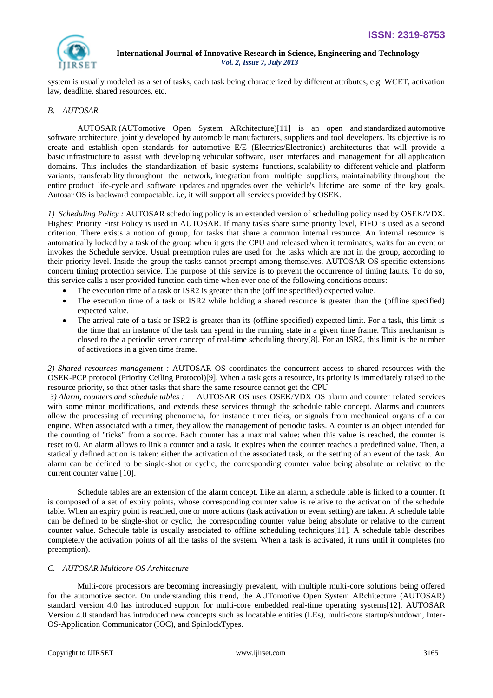

system is usually modeled as a set of tasks, each task being characterized by different attributes, e.g. WCET, activation law, deadline, shared resources, etc.

# *B. AUTOSAR*

AUTOSAR (AUTomotive Open System ARchitecture)[11] is an open and [standardized](http://en.wikipedia.org/wiki/Standardized) [automotive](http://en.wikipedia.org/wiki/Automotive_software)  [software](http://en.wikipedia.org/wiki/Automotive_software) architecture, jointly developed by automobile manufacturers, suppliers and tool developers. Its objective is to create and establish open standards for automotive E/E (Electrics/Electronics) architectures that will provide a basic [infrastructure](http://en.wikipedia.org/wiki/Infrastructure) to assist with developing [vehicular](http://en.wikipedia.org/wiki/Vehicular) [software,](http://en.wikipedia.org/wiki/Software) user interfaces and management for all [application](http://en.wikipedia.org/wiki/Application_domain)  [domains.](http://en.wikipedia.org/wiki/Application_domain) This includes the standardization of basic systems functions, [scalability](http://en.wikipedia.org/wiki/Scalability) to different [vehicle](http://en.wikipedia.org/wiki/Vehicle) and platform variants, [transferability](http://en.wikipedia.org/wiki/Transferability) throughout the network, [integration](http://en.wikipedia.org/wiki/System_integration) from multiple suppliers, [maintainability](http://en.wikipedia.org/wiki/Maintainability) throughout the entire [product life-cycle](http://en.wikipedia.org/wiki/Product_lifecycle_(marketing)) and [software updates](http://en.wikipedia.org/wiki/Software_update) and [upgrades](http://en.wikipedia.org/wiki/Software_upgrade) over the vehicle's lifetime are some of the key goals. Autosar OS is backward compactable. i.e, it will support all services provided by OSEK.

*1) Scheduling Policy :* AUTOSAR scheduling policy is an extended version of scheduling policy used by OSEK/VDX. Highest Priority First Policy is used in AUTOSAR. If many tasks share same priority level, FIFO is used as a second criterion. There exists a notion of group, for tasks that share a common internal resource. An internal resource is automatically locked by a task of the group when it gets the CPU and released when it terminates, waits for an event or invokes the Schedule service. Usual preemption rules are used for the tasks which are not in the group, according to their priority level. Inside the group the tasks cannot preempt among themselves. AUTOSAR OS specific extensions concern timing protection service. The purpose of this service is to prevent the occurrence of timing faults. To do so, this service calls a user provided function each time when ever one of the following conditions occurs:

- The execution time of a task or ISR2 is greater than the (offline specified) expected value.
- The execution time of a task or ISR2 while holding a shared resource is greater than the (offline specified) expected value.
- The arrival rate of a task or ISR2 is greater than its (offline specified) expected limit. For a task, this limit is the time that an instance of the task can spend in the running state in a given time frame. This mechanism is closed to the a periodic server concept of real-time scheduling theory[8]. For an ISR2, this limit is the number of activations in a given time frame.

*2) Shared resources management :* AUTOSAR OS coordinates the concurrent access to shared resources with the OSEK-PCP protocol (Priority Ceiling Protocol)[9]. When a task gets a resource, its priority is immediately raised to the resource priority, so that other tasks that share the same resource cannot get the CPU.

*3) Alarm, counters and schedule tables :* AUTOSAR OS uses OSEK/VDX OS alarm and counter related services with some minor modifications, and extends these services through the schedule table concept. Alarms and counters allow the processing of recurring phenomena, for instance timer ticks, or signals from mechanical organs of a car engine. When associated with a timer, they allow the management of periodic tasks. A counter is an object intended for the counting of "ticks" from a source. Each counter has a maximal value: when this value is reached, the counter is reset to 0. An alarm allows to link a counter and a task. It expires when the counter reaches a predefined value. Then, a statically defined action is taken: either the activation of the associated task, or the setting of an event of the task. An alarm can be defined to be single-shot or cyclic, the corresponding counter value being absolute or relative to the current counter value [10].

Schedule tables are an extension of the alarm concept. Like an alarm, a schedule table is linked to a counter. It is composed of a set of expiry points, whose corresponding counter value is relative to the activation of the schedule table. When an expiry point is reached, one or more actions (task activation or event setting) are taken. A schedule table can be defined to be single-shot or cyclic, the corresponding counter value being absolute or relative to the current counter value. Schedule table is usually associated to offline scheduling techniques[11]. A schedule table describes completely the activation points of all the tasks of the system. When a task is activated, it runs until it completes (no preemption).

# *C. AUTOSAR Multicore OS Architecture*

Multi-core processors are becoming increasingly prevalent, with multiple multi-core solutions being offered for the automotive sector. On understanding this trend, the AUTomotive Open System ARchitecture (AUTOSAR) standard version 4.0 has introduced support for multi-core embedded real-time operating systems[12]. AUTOSAR Version 4.0 standard has introduced new concepts such as locatable entities (LEs), multi-core startup/shutdown, Inter-OS-Application Communicator (IOC), and SpinlockTypes.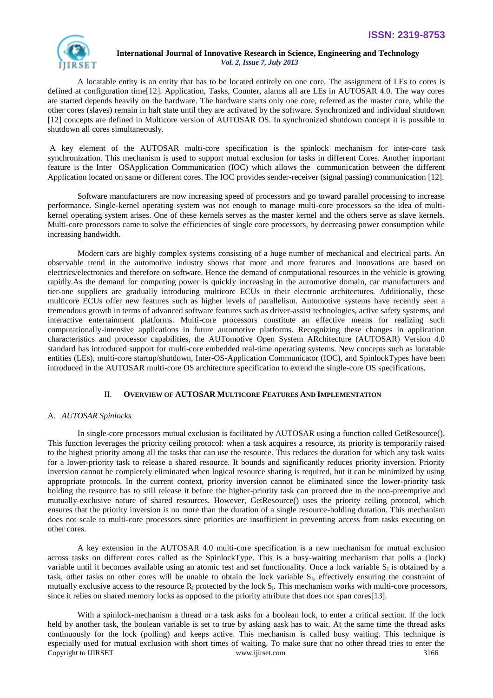

A locatable entity is an entity that has to be located entirely on one core. The assignment of LEs to cores is defined at configuration time[12]. Application, Tasks, Counter, alarms all are LEs in AUTOSAR 4.0. The way cores are started depends heavily on the hardware. The hardware starts only one core, referred as the master core, while the other cores (slaves) remain in halt state until they are activated by the software. Synchronized and individual shutdown [12] concepts are defined in Multicore version of AUTOSAR OS. In synchronized shutdown concept it is possible to shutdown all cores simultaneously.

A key element of the AUTOSAR multi-core specification is the spinlock mechanism for inter-core task synchronization. This mechanism is used to support mutual exclusion for tasks in different Cores. Another important feature is the Inter OSApplication Communication (IOC) which allows the communication between the different Application located on same or different cores. The IOC provides sender-receiver (signal passing) communication [12].

Software manufacturers are now increasing speed of processors and go toward parallel processing to increase performance. Single-kernel operating system was not enough to manage multi-core processors so the idea of multikernel operating system arises. One of these kernels serves as the master kernel and the others serve as slave kernels. Multi-core processors came to solve the efficiencies of single core processors, by decreasing power consumption while increasing bandwidth.

Modern cars are highly complex systems consisting of a huge number of mechanical and electrical parts. An observable trend in the automotive industry shows that more and more features and innovations are based on electrics/electronics and therefore on software. Hence the demand of computational resources in the vehicle is growing rapidly.As the demand for computing power is quickly increasing in the automotive domain, car manufacturers and tier-one suppliers are gradually introducing multicore ECUs in their electronic architectures. Additionally, these multicore ECUs offer new features such as higher levels of parallelism. Automotive systems have recently seen a tremendous growth in terms of advanced software features such as driver-assist technologies, active safety systems, and interactive entertainment platforms. Multi-core processors constitute an effective means for realizing such computationally-intensive applications in future automotive platforms. Recognizing these changes in application characteristics and processor capabilities, the AUTomotive Open System ARchitecture (AUTOSAR) Version 4.0 standard has introduced support for multi-core embedded real-time operating systems. New concepts such as locatable entities (LEs), multi-core startup/shutdown, Inter-OS-Application Communicator (IOC), and SpinlockTypes have been introduced in the AUTOSAR multi-core OS architecture specification to extend the single-core OS specifications.

# II. **OVERVIEW OF AUTOSAR MULTICORE FEATURES AND IMPLEMENTATION**

### A. *AUTOSAR Spinlocks*

In single-core processors mutual exclusion is facilitated by AUTOSAR using a function called GetResource(). This function leverages the priority ceiling protocol: when a task acquires a resource, its priority is temporarily raised to the highest priority among all the tasks that can use the resource. This reduces the duration for which any task waits for a lower-priority task to release a shared resource. It bounds and significantly reduces priority inversion. Priority inversion cannot be completely eliminated when logical resource sharing is required, but it can be minimized by using appropriate protocols. In the current context, priority inversion cannot be eliminated since the lower-priority task holding the resource has to still release it before the higher-priority task can proceed due to the non-preemptive and mutually-exclusive nature of shared resources. However, GetResource() uses the priority ceiling protocol, which ensures that the priority inversion is no more than the duration of a single resource-holding duration. This mechanism does not scale to multi-core processors since priorities are insufficient in preventing access from tasks executing on other cores.

A key extension in the AUTOSAR 4.0 multi-core specification is a new mechanism for mutual exclusion across tasks on different cores called as the SpinlockType. This is a busy-waiting mechanism that polls a (lock) variable until it becomes available using an atomic test and set functionality. Once a lock variable  $S_1$  is obtained by a task, other tasks on other cores will be unable to obtain the lock variable  $S<sub>1</sub>$ , effectively ensuring the constraint of mutually exclusive access to the resource  $R_1$  protected by the lock  $S_1$ . This mechanism works with multi-core processors, since it relies on shared memory locks as opposed to the priority attribute that does not span cores[13].

Copyright to IJIRSET [www.ijirset.com](http://www.ijirset.com/) 3166 With a spinlock-mechanism a thread or a task asks for a boolean lock, to enter a critical section. If the lock held by another task, the boolean variable is set to true by asking aask has to wait. At the same time the thread asks continuously for the lock (polling) and keeps active. This mechanism is called busy waiting. This technique is especially used for mutual exclusion with short times of waiting. To make sure that no other thread tries to enter the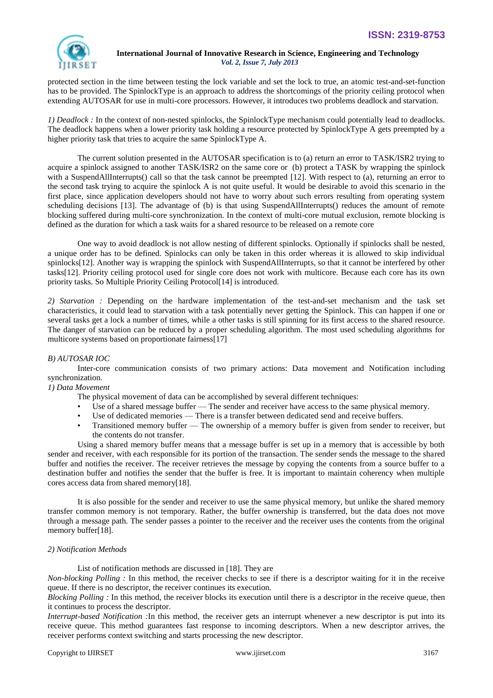

protected section in the time between testing the lock variable and set the lock to true, an atomic test-and-set-function has to be provided. The SpinlockType is an approach to address the shortcomings of the priority ceiling protocol when extending AUTOSAR for use in multi-core processors. However, it introduces two problems deadlock and starvation.

*1) Deadlock :* In the context of non-nested spinlocks, the SpinlockType mechanism could potentially lead to deadlocks. The deadlock happens when a lower priority task holding a resource protected by SpinlockType A gets preempted by a higher priority task that tries to acquire the same SpinlockType A.

The current solution presented in the AUTOSAR specification is to (a) return an error to TASK/ISR2 trying to acquire a spinlock assigned to another TASK/ISR2 on the same core or (b) protect a TASK by wrapping the spinlock with a SuspendAllInterrupts() call so that the task cannot be preempted [12]. With respect to (a), returning an error to the second task trying to acquire the spinlock A is not quite useful. It would be desirable to avoid this scenario in the first place, since application developers should not have to worry about such errors resulting from operating system scheduling decisions [13]. The advantage of (b) is that using SuspendAllInterrupts() reduces the amount of remote blocking suffered during multi-core synchronization. In the context of multi-core mutual exclusion, remote blocking is defined as the duration for which a task waits for a shared resource to be released on a remote core

One way to avoid deadlock is not allow nesting of different spinlocks. Optionally if spinlocks shall be nested, a unique order has to be defined. Spinlocks can only be taken in this order whereas it is allowed to skip individual spinlocks[12]. Another way is wrapping the spinlock with SuspendAllInterrupts, so that it cannot be interfered by other tasks[12]. Priority ceiling protocol used for single core does not work with multicore. Because each core has its own priority tasks. So Multiple Priority Ceiling Protocol[14] is introduced.

*2) Starvation :* Depending on the hardware implementation of the test-and-set mechanism and the task set characteristics, it could lead to starvation with a task potentially never getting the Spinlock. This can happen if one or several tasks get a lock a number of times, while a other tasks is still spinning for its first access to the shared resource. The danger of starvation can be reduced by a proper scheduling algorithm. The most used scheduling algorithms for multicore systems based on proportionate fairness[17]

### *B) AUTOSAR IOC*

Inter-core communication consists of two primary actions: Data movement and Notification including synchronization.

### *1) Data Movement*

The physical movement of data can be accomplished by several different techniques:

- Use of a shared message buffer The sender and receiver have access to the same physical memory.
- Use of dedicated memories There is a transfer between dedicated send and receive buffers.
- Transitioned memory buffer The ownership of a memory buffer is given from sender to receiver, but the contents do not transfer.

Using a shared memory buffer means that a message buffer is set up in a memory that is accessible by both sender and receiver, with each responsible for its portion of the transaction. The sender sends the message to the shared buffer and notifies the receiver. The receiver retrieves the message by copying the contents from a source buffer to a destination buffer and notifies the sender that the buffer is free. It is important to maintain coherency when multiple cores access data from shared memory[18].

It is also possible for the sender and receiver to use the same physical memory, but unlike the shared memory transfer common memory is not temporary. Rather, the buffer ownership is transferred, but the data does not move through a message path. The sender passes a pointer to the receiver and the receiver uses the contents from the original memory buffer[18].

### *2) Notification Methods*

List of notification methods are discussed in [18]. They are

*Non-blocking Polling :* In this method, the receiver checks to see if there is a descriptor waiting for it in the receive queue. If there is no descriptor, the receiver continues its execution.

*Blocking Polling :* In this method, the receiver blocks its execution until there is a descriptor in the receive queue, then it continues to process the descriptor.

*Interrupt-based Notification :*In this method, the receiver gets an interrupt whenever a new descriptor is put into its receive queue. This method guarantees fast response to incoming descriptors. When a new descriptor arrives, the receiver performs context switching and starts processing the new descriptor.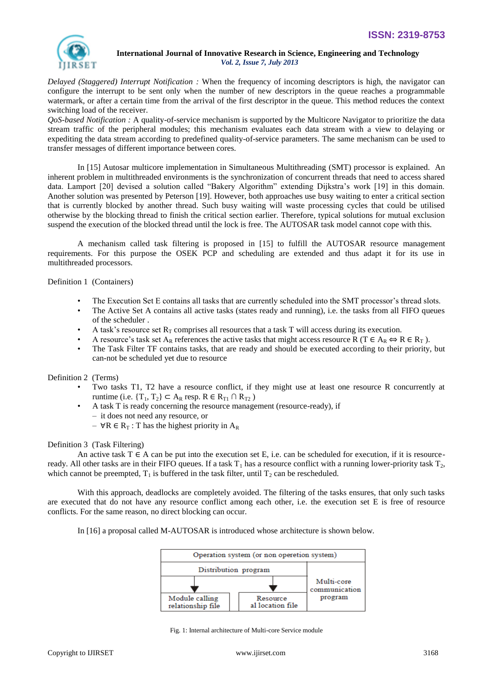

*Delayed (Staggered) Interrupt Notification :* When the frequency of incoming descriptors is high, the navigator can configure the interrupt to be sent only when the number of new descriptors in the queue reaches a programmable watermark, or after a certain time from the arrival of the first descriptor in the queue. This method reduces the context switching load of the receiver.

*QoS-based Notification :* A quality-of-service mechanism is supported by the Multicore Navigator to prioritize the data stream traffic of the peripheral modules; this mechanism evaluates each data stream with a view to delaying or expediting the data stream according to predefined quality-of-service parameters. The same mechanism can be used to transfer messages of different importance between cores.

In [15] Autosar multicore implementation in Simultaneous Multithreading (SMT) processor is explained. An inherent problem in multithreaded environments is the synchronization of concurrent threads that need to access shared data. Lamport [20] devised a solution called "Bakery Algorithm" extending Dijkstra's work [19] in this domain. Another solution was presented by Peterson [19]. However, both approaches use busy waiting to enter a critical section that is currently blocked by another thread. Such busy waiting will waste processing cycles that could be utilised otherwise by the blocking thread to finish the critical section earlier. Therefore, typical solutions for mutual exclusion suspend the execution of the blocked thread until the lock is free. The AUTOSAR task model cannot cope with this.

A mechanism called task filtering is proposed in [15] to fulfill the AUTOSAR resource management requirements. For this purpose the OSEK PCP and scheduling are extended and thus adapt it for its use in multithreaded processors.

Definition 1 (Containers)

- The Execution Set E contains all tasks that are currently scheduled into the SMT processor's thread slots.
- The Active Set A contains all active tasks (states ready and running), i.e. the tasks from all FIFO queues of the scheduler .
- A task's resource set  $R_T$  comprises all resources that a task T will access during its execution.
- A resource's task set  $A_R$  references the active tasks that might access resource R (T  $\in A_R \Leftrightarrow R \in R_T$ ).
- The Task Filter TF contains tasks, that are ready and should be executed according to their priority, but can-not be scheduled yet due to resource

Definition 2 (Terms)

- Two tasks T1, T2 have a resource conflict, if they might use at least one resource R concurrently at runtime (i.e.  $\{T_1, T_2\} \subset A_R$  resp.  $R \in R_{T1} \cap R_{T2}$ )
- A task T is ready concerning the resource management (resource-ready), if
- it does not need any resource, or
- $\forall R \in R_T$ : T has the highest priority in  $A_R$

### Definition 3 (Task Filtering)

An active task  $T \in A$  can be put into the execution set E, i.e. can be scheduled for execution, if it is resourceready. All other tasks are in their FIFO queues. If a task  $T_1$  has a resource conflict with a running lower-priority task  $T_2$ , which cannot be preempted,  $T_1$  is buffered in the task filter, until  $T_2$  can be rescheduled.

With this approach, deadlocks are completely avoided. The filtering of the tasks ensures, that only such tasks are executed that do not have any resource conflict among each other, i.e. the execution set E is free of resource conflicts. For the same reason, no direct blocking can occur.

In [16] a proposal called M-AUTOSAR is introduced whose architecture is shown below.

| Operation system (or non operetion system) |                              |                             |
|--------------------------------------------|------------------------------|-----------------------------|
| Distribution program                       |                              |                             |
|                                            |                              | Multi-core<br>communication |
| Module calling<br>relationship file        | Resource<br>al location file | program                     |

Fig. 1: Internal architecture of Multi-core Service module